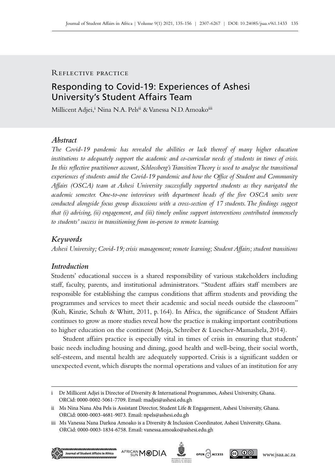## Reflective practice

# Responding to Covid‑19: Experiences of Ashesi University's Student Affairs Team

Millicent Adjei,<sup>i</sup> Nina N.A. Pels<sup>ii</sup> & Vanessa N.D. Amoako<sup>iii</sup>

### *Abstract*

*The Covid‑19 pandemic has revealed the abilities or lack thereof of many higher education institutions to adequately support the academic and co‑curricular needs of students in times of crisis.*  In this reflective practitioner account, Schlossberg's Transition Theory is used to analyse the transitional *experiences of students amid the Covid‑19 pandemic and how the Office of Student and Community Affairs (OSCA) team at Ashesi University successfully supported students as they navigated the academic semester. One-to-one interviews with department heads of the five OSCA units were conducted alongside focus group discussions with a cross-section of 17 students. The findings suggest that (i) advising, (ii) engagement, and (iii) timely online support interventions contributed immensely to students' success in transitioning from in‑person to remote learning.*

#### *Keywords*

*Ashesi University; Covid‑19; crisis management; remote learning; Student Affairs; student transitions*

## *Introduction*

Students' educational success is a shared responsibility of various stakeholders including staff, faculty, parents, and institutional administrators. "Student affairs staff members are responsible for establishing the campus conditions that affirm students and providing the programmes and services to meet their academic and social needs outside the classroom" (Kuh, Kinzie, Schuh & Whitt, 2011, p. 164). In Africa, the significance of Student Affairs continues to grow as more studies reveal how the practice is making important contributions to higher education on the continent (Moja, Schreiber & Luescher-Mamashela, 2014).

Student affairs practice is especially vital in times of crisis in ensuring that students' basic needs including housing and dining, good health and well-being, their social worth, self-esteem, and mental health are adequately supported. Crisis is a significant sudden or unexpected event, which disrupts the normal operations and values of an institution for any

iii Ms Vanessa Nana Darkoa Amoako is a Diversity & Inclusion Coordinator, Ashesi University, Ghana. ORCid: 0000-0003-1834-6758. Email: [vanessa.amoako@ashesi.edu.gh](mailto:vanessa.amoako%40ashesi.edu.gh?subject=)









i Dr Millicent Adjei is Director of Diversity & International Programmes, Ashesi University, Ghana. ORCid: 0000-0002-5061-7709. Email: [madjei@ashesi.edu.gh](mailto:madjei%40ashesi.edu.gh?subject=)

ii Ms Nina Nana Aba Pels is Assistant Director, Student Life & Engagement, Ashesi University, Ghana. ORCid: 0000-0003-4681-9073. Email: [npels@ashesi.edu.gh](mailto:npels%40ashesi.edu.gh?subject=)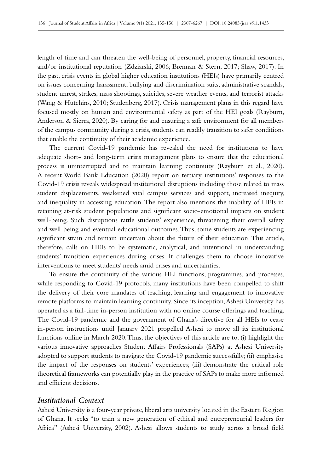length of time and can threaten the well-being of personnel, property, financial resources, and/or institutional reputation (Zdziarski, 2006; Brennan & Stern, 2017; Shaw, 2017). In the past, crisis events in global higher education institutions (HEIs) have primarily centred on issues concerning harassment, bullying and discrimination suits, administrative scandals, student unrest, strikes, mass shootings, suicides, severe weather events, and terrorist attacks (Wang & Hutchins, 2010; Studenberg, 2017). Crisis management plans in this regard have focused mostly on human and environmental safety as part of the HEI goals (Rayburn, Anderson & Sierra, 2020). By caring for and ensuring a safe environment for all members of the campus community during a crisis, students can readily transition to safer conditions that enable the continuity of their academic experience.

The current Covid-19 pandemic has revealed the need for institutions to have adequate short- and long-term crisis management plans to ensure that the educational process is uninterrupted and to maintain learning continuity (Rayburn et al., 2020). A recent World Bank Education (2020) report on tertiary institutions' responses to the Covid‑19 crisis reveals widespread institutional disruptions including those related to mass student displacements, weakened vital campus services and support, increased inequity, and inequality in accessing education. The report also mentions the inability of HEIs in retaining at-risk student populations and significant socio-emotional impacts on student well-being. Such disruptions rattle students' experience, threatening their overall safety and well‑being and eventual educational outcomes. Thus, some students are experiencing significant strain and remain uncertain about the future of their education. This article, therefore, calls on HEIs to be systematic, analytical, and intentional in understanding students' transition experiences during crises. It challenges them to choose innovative interventions to meet students' needs amid crises and uncertainties.

To ensure the continuity of the various HEI functions, programmes, and processes, while responding to Covid-19 protocols, many institutions have been compelled to shift the delivery of their core mandates of teaching, learning and engagement to innovative remote platforms to maintain learning continuity. Since its inception, Ashesi University has operated as a full-time in‑person institution with no online course offerings and teaching. The Covid-19 pandemic and the government of Ghana's directive for all HEIs to cease in–person instructions until January 2021 propelled Ashesi to move all its institutional functions online in March 2020. Thus, the objectives of this article are to: (i) highlight the various innovative approaches Student Affairs Professionals (SAPs) at Ashesi University adopted to support students to navigate the Covid-19 pandemic successfully; (ii) emphasise the impact of the responses on students' experiences; (iii) demonstrate the critical role theoretical frameworks can potentially play in the practice of SAPs to make more informed and efficient decisions.

## *Institutional Context*

Ashesi University is a four-year private, liberal arts university located in the Eastern Region of Ghana. It seeks "to train a new generation of ethical and entrepreneurial leaders for Africa" (Ashesi University, 2002). Ashesi allows students to study across a broad field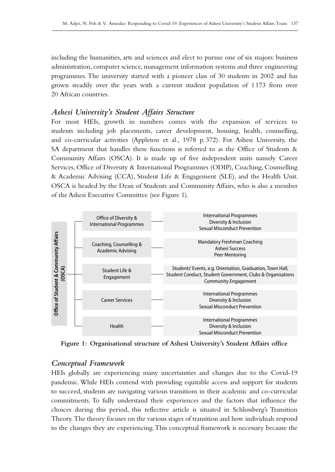including the humanities, arts and sciences and elect to pursue one of six majors: business administration, computer science, management information systems and three engineering programmes. The university started with a pioneer class of 30 students in 2002 and has grown steadily over the years with a current student population of 1173 from over 20 African countries.

## *Ashesi University's Student Affairs Structure*

For most HEIs, growth in numbers comes with the expansion of services to students including job placements, career development, housing, health, counselling, and co-curricular activities (Appleton et al., 1978 p. 372). For Ashesi University, the SA department that handles these functions is referred to as the Office of Students & Community Affairs (OSCA). It is made up of five independent units namely Career Services, Office of Diversity & International Programmes (ODIP), Coaching, Counselling & Academic Advising (CCA), Student Life & Engagement (SLE), and the Health Unit. OSCA is headed by the Dean of Students and Community Affairs, who is also a member of the Ashesi Executive Committee (see Figure 1).



**Figure 1: Organisational structure of Ashesi University's Student Affairs office**

## *Conceptual Framework*

HEIs globally are experiencing many uncertainties and changes due to the Covid-19 pandemic. While HEIs contend with providing equitable access and support for students to succeed, students are navigating various transitions in their academic and co–curricular commitments. To fully understand their experiences and the factors that influence the choices during this period, this reflective article is situated in Schlossberg's Transition Theory. The theory focuses on the various stages of transition and how individuals respond to the changes they are experiencing. This conceptual framework is necessary because the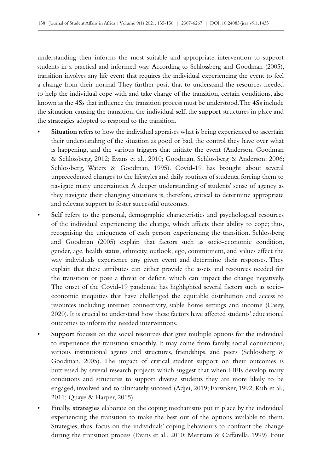understanding then informs the most suitable and appropriate intervention to support students in a practical and informed way. According to Schlossberg and Goodman (2005), transition involves any life event that requires the individual experiencing the event to feel a change from their normal. They further posit that to understand the resources needed to help the individual cope with and take charge of the transition, certain conditions, also known as the **4Ss** that influence the transition process must be understood. The **4Ss** include the **situation** causing the transition, the individual **self**, the **support** structures in place and the **strategies** adopted to respond to the transition.

- Situation refers to how the individual appraises what is being experienced to ascertain their understanding of the situation as good or bad, the control they have over what is happening, and the various triggers that initiate the event (Anderson, Goodman & Schlossberg, 2012; Evans et al., 2010; Goodman, Schlossberg & Anderson, 2006; Schlossberg, Waters & Goodman, 1995). Covid-19 has brought about several unprecedented changes to the lifestyles and daily routines of students, forcing them to navigate many uncertainties. A deeper understanding of students' sense of agency as they navigate their changing situations is, therefore, critical to determine appropriate and relevant support to foster successful outcomes.
- **Self** refers to the personal, demographic characteristics and psychological resources of the individual experiencing the change, which affects their ability to cope; thus, recognising the uniqueness of each person experiencing the transition. Schlossberg and Goodman (2005) explain that factors such as socio-economic condition, gender, age, health status, ethnicity, outlook, ego, commitment, and values affect the way individuals experience any given event and determine their responses. They explain that these attributes can either provide the assets and resources needed for the transition or pose a threat or deficit, which can impact the change negatively. The onset of the Covid–19 pandemic has highlighted several factors such as socioeconomic inequities that have challenged the equitable distribution and access to resources including internet connectivity, stable home settings and income (Casey, 2020). It is crucial to understand how these factors have affected students' educational outcomes to inform the needed interventions.
- Support focuses on the social resources that give multiple options for the individual to experience the transition smoothly. It may come from family, social connections, various institutional agents and structures, friendships, and peers (Schlossberg & Goodman, 2005). The impact of critical student support on their outcomes is buttressed by several research projects which suggest that when HEIs develop many conditions and structures to support diverse students they are more likely to be engaged, involved and to ultimately succeed (Adjei, 2019; Earwaker, 1992; Kuh et al., 2011; Quaye & Harper, 2015).
- Finally, **strategies** elaborate on the coping mechanisms put in place by the individual experiencing the transition to make the best out of the options available to them. Strategies, thus, focus on the individuals' coping behaviours to confront the change during the transition process (Evans et al., 2010; Merriam & Caffarella, 1999). Four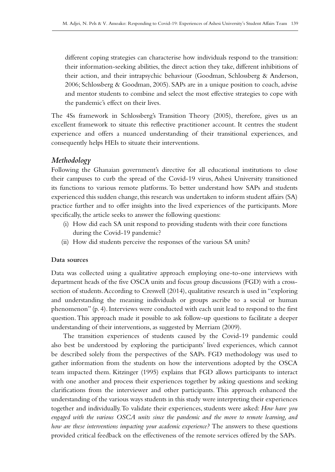different coping strategies can characterise how individuals respond to the transition: their information-seeking abilities, the direct action they take, different inhibitions of their action, and their intrapsychic behaviour (Goodman, Schlossberg & Anderson, 2006; Schlossberg & Goodman, 2005). SAPs are in a unique position to coach, advise and mentor students to combine and select the most effective strategies to cope with the pandemic's effect on their lives.

The 4Ss framework in Schlossberg's Transition Theory (2005), therefore, gives us an excellent framework to situate this reflective practitioner account. It centres the student experience and offers a nuanced understanding of their transitional experiences, and consequently helps HEIs to situate their interventions.

## *Methodology*

Following the Ghanaian government's directive for all educational institutions to close their campuses to curb the spread of the Covid‑19 virus, Ashesi University transitioned its functions to various remote platforms. To better understand how SAPs and students experienced this sudden change, this research was undertaken to inform student affairs (SA) practice further and to offer insights into the lived experiences of the participants. More specifically, the article seeks to answer the following questions:

- (i) How did each SA unit respond to providing students with their core functions during the Covid-19 pandemic?
- (ii) How did students perceive the responses of the various SA units?

#### **Data sources**

Data was collected using a qualitative approach employing one-to-one interviews with department heads of the five OSCA units and focus group discussions (FGD) with a crosssection of students. According to Creswell (2014), qualitative research is used in "exploring and understanding the meaning individuals or groups ascribe to a social or human phenomenon" (p. 4). Interviews were conducted with each unit lead to respond to the first question. This approach made it possible to ask follow-up questions to facilitate a deeper understanding of their interventions, as suggested by Merriam (2009).

The transition experiences of students caused by the Covid-19 pandemic could also best be understood by exploring the participants' lived experiences, which cannot be described solely from the perspectives of the SAPs. FGD methodology was used to gather information from the students on how the interventions adopted by the OSCA team impacted them. Kitzinger (1995) explains that FGD allows participants to interact with one another and process their experiences together by asking questions and seeking clarifications from the interviewer and other participants. This approach enhanced the understanding of the various ways students in this study were interpreting their experiences together and individually. To validate their experiences, students were asked: *How have you engaged with the various OSCA units since the pandemic and the move to remote learning, and how are these interventions impacting your academic experience?* The answers to these questions provided critical feedback on the effectiveness of the remote services offered by the SAPs.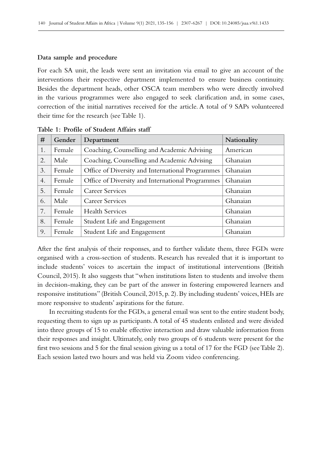#### **Data sample and procedure**

For each SA unit, the leads were sent an invitation via email to give an account of the interventions their respective department implemented to ensure business continuity. Besides the department heads, other OSCA team members who were directly involved in the various programmes were also engaged to seek clarification and, in some cases, correction of the initial narratives received for the article. A total of 9 SAPs volunteered their time for the research (see Table 1).

| #  | Gender | Department                                       | Nationality |
|----|--------|--------------------------------------------------|-------------|
| 1. | Female | Coaching, Counselling and Academic Advising      | American    |
| 2. | Male   | Coaching, Counselling and Academic Advising      | Ghanaian    |
| 3. | Female | Office of Diversity and International Programmes | Ghanaian    |
| 4. | Female | Office of Diversity and International Programmes | Ghanaian    |
| 5. | Female | Career Services                                  | Ghanaian    |
| 6. | Male   | Career Services                                  | Ghanaian    |
| 7. | Female | <b>Health Services</b>                           | Ghanaian    |
| 8. | Female | Student Life and Engagement                      | Ghanaian    |
| 9. | Female | Student Life and Engagement                      | Ghanaian    |

**Table 1: Profile of Student Affairs staff**

After the first analysis of their responses, and to further validate them, three FGDs were organised with a cross-section of students. Research has revealed that it is important to include students' voices to ascertain the impact of institutional interventions (British Council, 2015). It also suggests that "when institutions listen to students and involve them in decision-making, they can be part of the answer in fostering empowered learners and responsive institutions" (British Council, 2015, p. 2). By including students' voices, HEIs are more responsive to students' aspirations for the future.

In recruiting students for the FGDs, a general email was sent to the entire student body, requesting them to sign up as participants. A total of 45 students enlisted and were divided into three groups of 15 to enable effective interaction and draw valuable information from their responses and insight. Ultimately, only two groups of 6 students were present for the first two sessions and 5 for the final session giving us a total of 17 for the FGD (see Table 2). Each session lasted two hours and was held via Zoom video conferencing.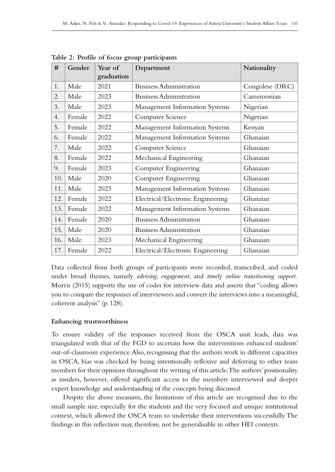| #   | Gender | Year of<br>graduation | Department                        | Nationality     |
|-----|--------|-----------------------|-----------------------------------|-----------------|
| 1.  | Male   | 2021                  | <b>Business Administration</b>    | Congolese (DRC) |
| 2.  | Male   | 2023                  | <b>Business Administration</b>    | Cameroonian     |
| 3.  | Male   | 2023                  | Management Information Systems    | Nigerian        |
| 4.  | Female | 2022                  | Computer Science                  | Nigerian        |
| 5.  | Female | 2022                  | Management Information Systems    | Kenyan          |
| 6.  | Female | 2022                  | Management Information Systems    | Ghanaian        |
| 7.  | Male   | 2022                  | Computer Science                  | Ghanaian        |
| 8.  | Female | 2022                  | Mechanical Engineering            | Ghanaian        |
| 9.  | Female | 2023                  | Computer Engineering              | Ghanaian        |
| 10. | Male   | 2020                  | Computer Engineering              | Ghanaian        |
| 11. | Male   | 2023                  | Management Information Systems    | Ghanaian        |
| 12. | Female | 2022                  | Electrical/Electronic Engineering | Ghanaian        |
| 13. | Female | 2022                  | Management Information Systems    | Ghanaian        |
| 14. | Female | 2020                  | <b>Business Administration</b>    | Ghanaian        |
| 15. | Male   | 2020                  | <b>Business Administration</b>    | Ghanaian        |
| 16. | Male   | 2023                  | Mechanical Engineering            | Ghanaian        |
| 17. | Female | 2022                  | Electrical/Electronic Engineering | Ghanaian        |

**Table 2: Profile of focus group participants** 

Data collected from both groups of participants were recorded, transcribed, and coded under broad themes, namely *advising*, *engagement*, and *timely online transitioning support.* Morris (2015) supports the use of codes for interview data and asserts that "coding allows you to compare the responses of interviewees and convert the interviews into a meaningful, coherent analysis" (p. 128).

#### **Enhancing trustworthiness**

To ensure validity of the responses received from the OSCA unit leads, data was triangulated with that of the FGD to ascertain how the interventions enhanced students' out-of-classroom experience. Also, recognising that the authors work in different capacities in OSCA, bias was checked by being intentionally reflexive and deferring to other team members for their opinions throughout the writing of this article. The authors' positionality as insiders, however, offered significant access to the members interviewed and deeper expert knowledge and understanding of the concepts being discussed.

Despite the above measures, the limitations of this article are recognised due to the small sample size, especially for the students and the very focused and unique institutional context, which allowed the OSCA team to undertake their interventions successfully. The findings in this reflection may, therefore, not be generalisable in other HEI contexts.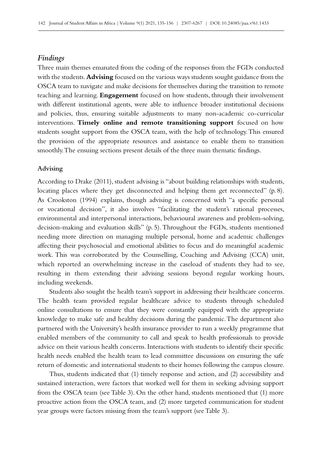### *Findings*

Three main themes emanated from the coding of the responses from the FGDs conducted with the students. **Advising** focused on the various ways students sought guidance from the OSCA team to navigate and make decisions for themselves during the transition to remote teaching and learning. **Engagement** focused on how students, through their involvement with different institutional agents, were able to influence broader institutional decisions and policies, thus, ensuring suitable adjustments to many non-academic co-curricular interventions. **Timely online and remote transitioning support** focused on how students sought support from the OSCA team, with the help of technology. This ensured the provision of the appropriate resources and assistance to enable them to transition smoothly. The ensuing sections present details of the three main thematic findings.

#### **Advising**

According to Drake (2011), student advising is "about building relationships with students, locating places where they get disconnected and helping them get reconnected" (p. 8). As Crookston (1994) explains, though advising is concerned with "a specific personal or vocational decision", it also involves "facilitating the student's rational processes, environmental and interpersonal interactions, behavioural awareness and problem-solving, decision-making and evaluation skills" (p. 5). Throughout the FGDs, students mentioned needing more direction on managing multiple personal, home and academic challenges affecting their psychosocial and emotional abilities to focus and do meaningful academic work. This was corroborated by the Counselling, Coaching and Advising (CCA) unit, which reported an overwhelming increase in the caseload of students they had to see, resulting in them extending their advising sessions beyond regular working hours, including weekends.

Students also sought the health team's support in addressing their healthcare concerns. The health team provided regular healthcare advice to students through scheduled online consultations to ensure that they were constantly equipped with the appropriate knowledge to make safe and healthy decisions during the pandemic. The department also partnered with the University's health insurance provider to run a weekly programme that enabled members of the community to call and speak to health professionals to provide advice on their various health concerns. Interactions with students to identify their specific health needs enabled the health team to lead committee discussions on ensuring the safe return of domestic and international students to their homes following the campus closure.

Thus, students indicated that (1) timely response and action, and (2) accessibility and sustained interaction, were factors that worked well for them in seeking advising support from the OSCA team (see Table 3). On the other hand, students mentioned that (1) more proactive action from the OSCA team, and (2) more targeted communication for student year groups were factors missing from the team's support (see Table 3).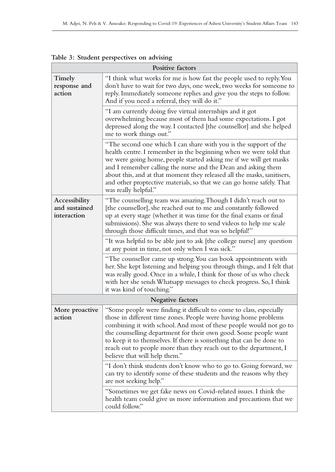| Positive factors                              |                                                                                                                                                                                                                                                                                                                                                                                                                                                              |  |
|-----------------------------------------------|--------------------------------------------------------------------------------------------------------------------------------------------------------------------------------------------------------------------------------------------------------------------------------------------------------------------------------------------------------------------------------------------------------------------------------------------------------------|--|
| Timely<br>response and<br>action              | "I think what works for me is how fast the people used to reply. You<br>don't have to wait for two days, one week, two weeks for someone to<br>reply. Immediately someone replies and give you the steps to follow.<br>And if you need a referral, they will do it."                                                                                                                                                                                         |  |
|                                               | "I am currently doing five virtual internships and it got<br>overwhelming because most of them had some expectations. I got<br>depressed along the way. I contacted [the counsellor] and she helped<br>me to work things out."                                                                                                                                                                                                                               |  |
|                                               | "The second one which I can share with you is the support of the<br>health centre. I remember in the beginning when we were told that<br>we were going home, people started asking me if we will get masks<br>and I remember calling the nurse and the Dean and asking them<br>about this, and at that moment they released all the masks, sanitisers,<br>and other proptective materials, so that we can go home safely. That<br>was really helpful."       |  |
| Accessibility<br>and sustained<br>interaction | "The counselling team was amazing. Though I didn't reach out to<br>[the counsellor], she reached out to me and constantly followed<br>up at every stage (whether it was time for the final exams or final<br>submissions). She was always there to send videos to help me scale<br>through those difficult times, and that was so helpful!"                                                                                                                  |  |
|                                               | "It was helpful to be able just to ask [the college nurse] any question<br>at any point in time, not only when I was sick."                                                                                                                                                                                                                                                                                                                                  |  |
|                                               | "The counsellor came up strong. You can book appointments with<br>her. She kept listening and helping you through things, and I felt that<br>was really good. Once in a while, I think for those of us who check<br>with her she sends Whatsapp messages to check progress. So, I think<br>it was kind of touching."                                                                                                                                         |  |
|                                               | Negative factors                                                                                                                                                                                                                                                                                                                                                                                                                                             |  |
| More proactive<br>action                      | "Some people were finding it difficult to come to class, especially<br>those in different time zones. People were having home problems<br>combining it with school. And most of these people would not go to<br>the counselling department for their own good. Some people want<br>to keep it to themselves. If there is something that can be done to<br>reach out to people more than they reach out to the department, I<br>believe that will help them." |  |
|                                               | "I don't think students don't know who to go to. Going forward, we<br>can try to identify some of these students and the reasons why they<br>are not seeking help."                                                                                                                                                                                                                                                                                          |  |
|                                               | "Sometimes we get fake news on Covid-related issues. I think the<br>health team could give us more information and precautions that we<br>could follow."                                                                                                                                                                                                                                                                                                     |  |

**Table 3: Student perspectives on advising**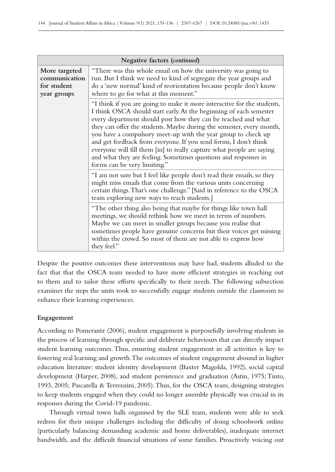| Negative factors (continued)                                 |                                                                                                                                                                                                                                                                                                                                                                                                                                                                                                                                                                                                         |  |
|--------------------------------------------------------------|---------------------------------------------------------------------------------------------------------------------------------------------------------------------------------------------------------------------------------------------------------------------------------------------------------------------------------------------------------------------------------------------------------------------------------------------------------------------------------------------------------------------------------------------------------------------------------------------------------|--|
| More targeted<br>communication<br>for student<br>year groups | "There was this whole email on how the university was going to<br>run. But I think we need to kind of segregate the year groups and<br>do a 'new normal' kind of reorientation because people don't know<br>where to go for what at this moment."                                                                                                                                                                                                                                                                                                                                                       |  |
|                                                              | "I think if you are going to make it more interactive for the students,<br>I think OSCA should start early. At the beginning of each semester<br>every department should post how they can be reached and what<br>they can offer the students. Maybe during the semester, every month,<br>you have a compulsory meet-up with the year group to check up<br>and get feedback from everyone. If you send forms, I don't think<br>everyone will fill them [in] to really capture what people are saying<br>and what they are feeling. Sometimes questions and responses in<br>forms can be very limiting." |  |
|                                                              | "I am not sure but I feel like people don't read their emails, so they<br>might miss emails that come from the various units concerning<br>certain things. That's one challenge." [Said in reference to the OSCA<br>team exploring new ways to reach students.]                                                                                                                                                                                                                                                                                                                                         |  |
|                                                              | "The other thing also being that maybe for things like town hall<br>meetings, we should rethink how we meet in terms of numbers.<br>Maybe we can meet in smaller groups because you realise that<br>sometimes people have genuine concerns but their voices get missing<br>within the crowd. So most of them are not able to express how<br>they feel."                                                                                                                                                                                                                                                 |  |

Despite the positive outcomes these interventions may have had, students alluded to the fact that that the OSCA team needed to have more efficient strategies in reaching out to them and to tailor these efforts specifically to their needs. The following subsection examines the steps the units took to successfully engage students outside the classroom to enhance their learning experiences.

## **Engagement**

According to Pomerantz (2006), student engagement is purposefully involving students in the process of learning through specific and deliberate behaviours that can directly impact student learning outcomes. Thus, ensuring student engagement in all activities is key to fostering real learning and growth. The outcomes of student engagement abound in higher education literature: student identity development (Baxter Magolda, 1992), social capital development (Harper, 2008), and student persistence and graduation (Astin, 1975; Tinto, 1993, 2005; Pascarella & Terrenzini, 2005). Thus, for the OSCA team, designing strategies to keep students engaged when they could no longer assemble physically was crucial in its responses during the Covid-19 pandemic.

Through virtual town halls organised by the SLE team, students were able to seek redress for their unique challenges including the difficulty of doing schoolwork online (particularly balancing demanding academic and home deliverables), inadequate internet bandwidth, and the difficult financial situations of some families. Proactively voicing out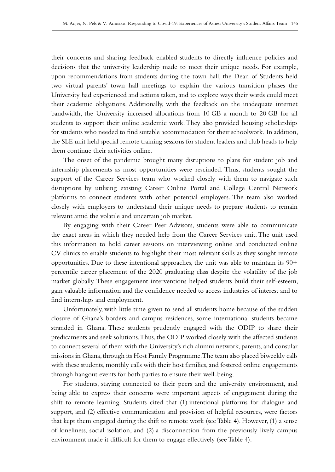their concerns and sharing feedback enabled students to directly influence policies and decisions that the university leadership made to meet their unique needs. For example, upon recommendations from students during the town hall, the Dean of Students held two virtual parents' town hall meetings to explain the various transition phases the University had experienced and actions taken, and to explore ways their wards could meet their academic obligations. Additionally, with the feedback on the inadequate internet bandwidth, the University increased allocations from 10 GB a month to 20 GB for all students to support their online academic work. They also provided housing scholarships for students who needed to find suitable accommodation for their schoolwork. In addition, the SLE unit held special remote training sessions for student leaders and club heads to help them continue their activities online.

The onset of the pandemic brought many disruptions to plans for student job and internship placements as most opportunities were rescinded. Thus, students sought the support of the Career Services team who worked closely with them to navigate such disruptions by utilising existing Career Online Portal and College Central Network platforms to connect students with other potential employers. The team also worked closely with employers to understand their unique needs to prepare students to remain relevant amid the volatile and uncertain job market.

By engaging with their Career Peer Advisors, students were able to communicate the exact areas in which they needed help from the Career Services unit. The unit used this information to hold career sessions on interviewing online and conducted online CV clinics to enable students to highlight their most relevant skills as they sought remote opportunities. Due to these intentional approaches, the unit was able to maintain its  $90+$ percentile career placement of the 2020 graduating class despite the volatility of the job market globally. These engagement interventions helped students build their self-esteem, gain valuable information and the confidence needed to access industries of interest and to find internships and employment.

Unfortunately, with little time given to send all students home because of the sudden closure of Ghana's borders and campus residences, some international students became stranded in Ghana. These students prudently engaged with the ODIP to share their predicaments and seek solutions. Thus, the ODIP worked closely with the affected students to connect several of them with the University's rich alumni network, parents, and consular missions in Ghana, through its Host Family Programme. The team also placed biweekly calls with these students, monthly calls with their host families, and fostered online engagements through hangout events for both parties to ensure their well-being.

For students, staying connected to their peers and the university environment, and being able to express their concerns were important aspects of engagement during the shift to remote learning. Students cited that (1) intentional platforms for dialogue and support, and (2) effective communication and provision of helpful resources, were factors that kept them engaged during the shift to remote work (see Table 4). However, (1) a sense of loneliness, social isolation, and (2) a disconnection from the previously lively campus environment made it difficult for them to engage effectively (see Table 4).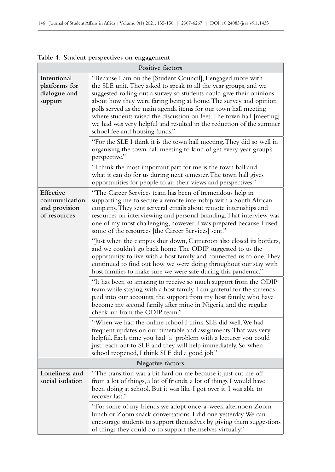| able 1: Stadent perspectives on engagement                  |                                                                                                                                                                                                                                                                                                                                                                                                                                                                                                                                  |  |
|-------------------------------------------------------------|----------------------------------------------------------------------------------------------------------------------------------------------------------------------------------------------------------------------------------------------------------------------------------------------------------------------------------------------------------------------------------------------------------------------------------------------------------------------------------------------------------------------------------|--|
| Positive factors                                            |                                                                                                                                                                                                                                                                                                                                                                                                                                                                                                                                  |  |
| Intentional<br>platforms for<br>dialogue and<br>support     | "Because I am on the [Student Council], I engaged more with<br>the SLE unit. They asked to speak to all the year groups, and we<br>suggested rolling out a survey so students could give their opinions<br>about how they were faring being at home. The survey and opinion<br>polls served as the main agenda items for our town hall meeting<br>where students raised the discussion on fees. The town hall [meeting]<br>we had was very helpful and resulted in the reduction of the summer<br>school fee and housing funds." |  |
|                                                             | "For the SLE I think it is the town hall meeting. They did so well in<br>organising the town hall meeting to kind of get every year group's<br>perspective."                                                                                                                                                                                                                                                                                                                                                                     |  |
|                                                             | "I think the most important part for me is the town hall and<br>what it can do for us during next semester. The town hall gives<br>opportunities for people to air their views and perspectives."                                                                                                                                                                                                                                                                                                                                |  |
| Effective<br>communication<br>and provision<br>of resources | "The Career Services team has been of tremendous help in<br>supporting me to secure a remote internship with a South African<br>conpamy. They sent serveral emails about remote internships and<br>resources on interviewing and personal branding. That interview was<br>one of my most challenging, however, I was prepared because I used<br>some of the resources [the Career Services] sent."                                                                                                                               |  |
|                                                             | "Just when the campus shut down, Cameroon also closed its borders,<br>and we couldn't go back home. The ODIP suggested to us the<br>opportunity to live with a host family and connected us to one. They<br>continued to find out how we were doing throughout our stay with<br>host families to make sure we were safe during this pandemic."                                                                                                                                                                                   |  |
|                                                             | "It has been so amazing to receive so much support from the ODIP<br>team while staying with a host family. I am grateful for the stipends<br>paid into our accounts, the support from my host family, who have<br>become my second family after mine in Nigeria, and the regular<br>check-up from the ODIP team."                                                                                                                                                                                                                |  |
|                                                             | "When we had the online school I think SLE did well. We had<br>frequent updates on our timetable and assignments. That was very<br>helpful. Each time you had [a] problem with a lecturer you could<br>just reach out to SLE and they will help immediately. So when<br>school reopened, I think SLE did a good job."                                                                                                                                                                                                            |  |
| Negative factors                                            |                                                                                                                                                                                                                                                                                                                                                                                                                                                                                                                                  |  |
| Loneliness and<br>social isolation                          | "The transition was a bit hard on me because it just cut me off<br>from a lot of things, a lot of friends, a lot of things I would have<br>been doing at school. But it was like I got over it. I was able to<br>recover fast."                                                                                                                                                                                                                                                                                                  |  |
|                                                             | "For some of my friends we adopt once-a-week afternoon Zoom<br>lunch or Zoom snack conversations. I did one yesterday. We can<br>encourage students to support themselves by giving them suggestions<br>of things they could do to support themselves virtually."                                                                                                                                                                                                                                                                |  |

| Table 4: Student perspectives on engagement |  |
|---------------------------------------------|--|
|---------------------------------------------|--|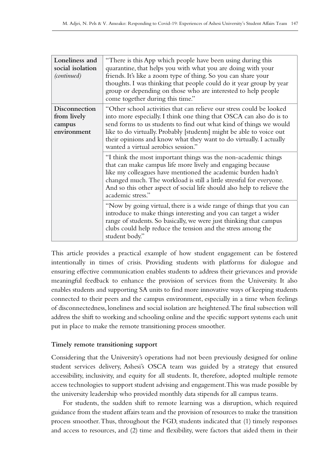| Loneliness and<br>social isolation<br>(continued)     | "There is this App which people have been using during this<br>quarantine, that helps you with what you are doing with your<br>friends. It's like a zoom type of thing. So you can share your<br>thoughts. I was thinking that people could do it year group by year<br>group or depending on those who are interested to help people<br>come together during this time."                              |
|-------------------------------------------------------|--------------------------------------------------------------------------------------------------------------------------------------------------------------------------------------------------------------------------------------------------------------------------------------------------------------------------------------------------------------------------------------------------------|
| Disconnection<br>from lively<br>campus<br>environment | "Other school activities that can relieve our stress could be looked<br>into more especially. I think one thing that OSCA can also do is to<br>send forms to us students to find out what kind of things we would<br>like to do virtually. Probably [students] might be able to voice out<br>their opinions and know what they want to do virtually. I actually<br>wanted a virtual aerobics session." |
|                                                       | "I think the most important things was the non-academic things<br>that can make campus life more lively and engaging because<br>like my colleagues have mentioned the academic burden hadn't<br>changed much. The workload is still a little stressful for everyone.<br>And so this other aspect of social life should also help to relieve the<br>academic stress."                                   |
|                                                       | "Now by going virtual, there is a wide range of things that you can<br>introduce to make things interesting and you can target a wider<br>range of students. So basically, we were just thinking that campus<br>clubs could help reduce the tension and the stress among the<br>student body."                                                                                                         |

This article provides a practical example of how student engagement can be fostered intentionally in times of crisis. Providing students with platforms for dialogue and ensuring effective communication enables students to address their grievances and provide meaningful feedback to enhance the provision of services from the University. It also enables students and supporting SA units to find more innovative ways of keeping students connected to their peers and the campus environment, especially in a time when feelings of disconnectedness, loneliness and social isolation are heightened. The final subsection will address the shift to working and schooling online and the specific support systems each unit put in place to make the remote transitioning process smoother.

## **Timely remote transitioning support**

Considering that the University's operations had not been previously designed for online student services delivery, Ashesi's OSCA team was guided by a strategy that ensured accessibility, inclusivity, and equity for all students. It, therefore, adopted multiple remote access technologies to support student advising and engagement. This was made possible by the university leadership who provided monthly data stipends for all campus teams.

For students, the sudden shift to remote learning was a disruption, which required guidance from the student affairs team and the provision of resources to make the transition process smoother. Thus, throughout the FGD, students indicated that (1) timely responses and access to resources, and (2) time and flexibility, were factors that aided them in their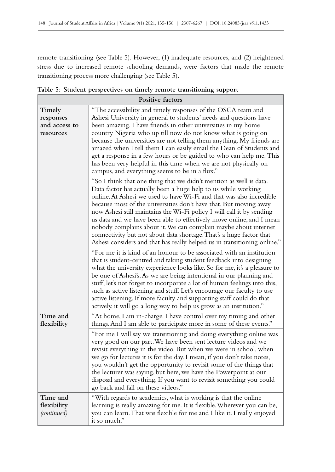remote transitioning (see Table 5). However, (1) inadequate resources, and (2) heightened stress due to increased remote schooling demands, were factors that made the remote transitioning process more challenging (see Table 5).

| Positive factors                                  |                                                                                                                                                                                                                                                                                                                                                                                                                                                                                                                                                                                                                                                         |  |
|---------------------------------------------------|---------------------------------------------------------------------------------------------------------------------------------------------------------------------------------------------------------------------------------------------------------------------------------------------------------------------------------------------------------------------------------------------------------------------------------------------------------------------------------------------------------------------------------------------------------------------------------------------------------------------------------------------------------|--|
| Timely<br>responses<br>and access to<br>resources | "The accessibility and timely responses of the OSCA team and<br>Ashesi University in general to students' needs and questions have<br>been amazing. I have friends in other universities in my home<br>country Nigeria who up till now do not know what is going on<br>because the universities are not telling them anything. My friends are<br>amazed when I tell them I can easily email the Dean of Students and<br>get a response in a few hours or be guided to who can help me. This<br>has been very helpful in this time when we are not physically on<br>campus, and everything seems to be in a flux."                                       |  |
|                                                   | "So I think that one thing that we didn't mention as well is data.<br>Data factor has actually been a huge help to us while working<br>online. At Ashesi we used to have Wi-Fi and that was also incredible<br>because most of the universities don't have that. But moving away<br>now Ashesi still maintains the Wi-Fi policy I will call it by sending<br>us data and we have been able to effectively move online, and I mean<br>nobody complains about it. We can complain maybe about internet<br>connectivity but not about data shortage. That's a huge factor that<br>Ashesi considers and that has really helped us in transitioning online." |  |
|                                                   | "For me it is kind of an honour to be associated with an institution<br>that is student-centred and taking student feedback into designing<br>what the university experience looks like. So for me, it's a pleasure to<br>be one of Ashesi's. As we are being intentional in our planning and<br>stuff, let's not forget to incorporate a lot of human feelings into this,<br>such as active listening and stuff. Let's encourage our faculty to use<br>active listening. If more faculty and supporting staff could do that<br>actively, it will go a long way to help us grow as an institution."                                                     |  |
| Time and<br>flexibility                           | "At home, I am in-charge. I have control over my timing and other<br>things. And I am able to participate more in some of these events."                                                                                                                                                                                                                                                                                                                                                                                                                                                                                                                |  |
|                                                   | "For me I will say we transitioning and doing everything online was<br>very good on our part. We have been sent lecture videos and we<br>revisit everything in the video. But when we were in school, when<br>we go for lectures it is for the day. I mean, if you don't take notes,<br>you wouldn't get the opportunity to revisit some of the things that<br>the lecturer was saying, but here, we have the Powerpoint at our<br>disposal and everything. If you want to revisit something you could<br>go back and fall on these videos."                                                                                                            |  |
| Time and<br>flexibility<br>(continued)            | "With regards to academics, what is working is that the online<br>learning is really amazing for me. It is flexible. Wherever you can be,<br>you can learn. That was flexible for me and I like it. I really enjoyed<br>it so much."                                                                                                                                                                                                                                                                                                                                                                                                                    |  |

**Table 5: Student perspectives on timely remote transitioning support**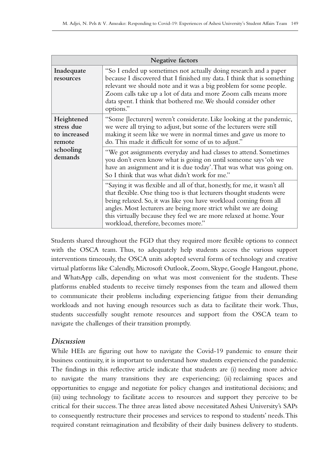| Negative factors                                   |                                                                                                                                                                                                                                                                                                                                                                                                       |  |
|----------------------------------------------------|-------------------------------------------------------------------------------------------------------------------------------------------------------------------------------------------------------------------------------------------------------------------------------------------------------------------------------------------------------------------------------------------------------|--|
| Inadequate<br>resources                            | "So I ended up sometimes not actually doing research and a paper<br>because I discovered that I finished my data. I think that is something<br>relevant we should note and it was a big problem for some people.<br>Zoom calls take up a lot of data and more Zoom calls means more<br>data spent. I think that bothered me. We should consider other<br>options."                                    |  |
| Heightened<br>stress due<br>to increased<br>remote | "Some [lecturers] weren't considerate. Like looking at the pandemic,<br>we were all trying to adjust, but some of the lecturers were still<br>making it seem like we were in normal times and gave us more to<br>do. This made it difficult for some of us to adjust."                                                                                                                                |  |
| schooling<br>demands                               | "We got assignments everyday and had classes to attend. Sometimes<br>you don't even know what is going on until someone says 'oh we<br>have an assignment and it is due today'. That was what was going on.<br>So I think that was what didn't work for me."                                                                                                                                          |  |
|                                                    | "Saying it was flexible and all of that, honestly, for me, it wasn't all<br>that flexible. One thing too is that lecturers thought students were<br>being relaxed. So, it was like you have workload coming from all<br>angles. Most lecturers are being more strict whilst we are doing<br>this virtually because they feel we are more relaxed at home. Your<br>workload, therefore, becomes more." |  |

Students shared throughout the FGD that they required more flexible options to connect with the OSCA team. Thus, to adequately help students access the various support interventions timeously, the OSCA units adopted several forms of technology and creative virtual platforms like Calendly, Microsoft Outlook, Zoom, Skype, Google Hangout, phone, and WhatsApp calls, depending on what was most convenient for the students. These platforms enabled students to receive timely responses from the team and allowed them to communicate their problems including experiencing fatigue from their demanding workloads and not having enough resources such as data to facilitate their work. Thus, students successfully sought remote resources and support from the OSCA team to navigate the challenges of their transition promptly.

## *Discussion*

While HEIs are figuring out how to navigate the Covid-19 pandemic to ensure their business continuity, it is important to understand how students experienced the pandemic. The findings in this reflective article indicate that students are (i) needing more advice to navigate the many transitions they are experiencing; (ii) reclaiming spaces and opportunities to engage and negotiate for policy changes and institutional decisions; and (iii) using technology to facilitate access to resources and support they perceive to be critical for their success. The three areas listed above necessitated Ashesi University's SAPs to consequently restructure their processes and services to respond to students' needs. This required constant reimagination and flexibility of their daily business delivery to students.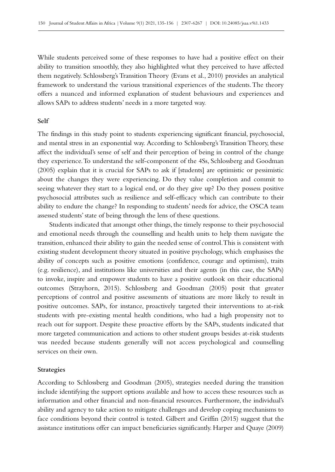While students perceived some of these responses to have had a positive effect on their ability to transition smoothly, they also highlighted what they perceived to have affected them negatively. Schlossberg's Transition Theory (Evans et al., 2010) provides an analytical framework to understand the various transitional experiences of the students. The theory offers a nuanced and informed explanation of student behaviours and experiences and allows SAPs to address students' needs in a more targeted way.

#### **Self**

The findings in this study point to students experiencing significant financial, psychosocial, and mental stress in an exponential way. According to Schlossberg's Transition Theory, these affect the individual's sense of self and their perception of being in control of the change they experience. To understand the self-component of the 4Ss, Schlossberg and Goodman (2005) explain that it is crucial for SAPs to ask if [students] are optimistic or pessimistic about the changes they were experiencing. Do they value completion and commit to seeing whatever they start to a logical end, or do they give up? Do they possess positive psychosocial attributes such as resilience and self-efficacy which can contribute to their ability to endure the change? In responding to students' needs for advice, the OSCA team assessed students' state of being through the lens of these questions.

Students indicated that amongst other things, the timely response to their psychosocial and emotional needs through the counselling and health units to help them navigate the transition, enhanced their ability to gain the needed sense of control. This is consistent with existing student development theory situated in positive psychology, which emphasises the ability of concepts such as positive emotions (confidence, courage and optimism), traits (e.g. resilience), and institutions like universities and their agents (in this case, the SAPs) to invoke, inspire and empower students to have a positive outlook on their educational outcomes (Strayhorn, 2015). Schlossberg and Goodman (2005) posit that greater perceptions of control and positive assessments of situations are more likely to result in positive outcomes. SAPs, for instance, proactively targeted their interventions to at-risk students with pre‑existing mental health conditions, who had a high propensity not to reach out for support. Despite these proactive efforts by the SAPs, students indicated that more targeted communication and actions to other student groups besides at-risk students was needed because students generally will not access psychological and counselling services on their own.

#### **Strategies**

According to Schlossberg and Goodman (2005), strategies needed during the transition include identifying the support options available and how to access these resources such as information and other financial and non-financial resources. Furthermore, the individual's ability and agency to take action to mitigate challenges and develop coping mechanisms to face conditions beyond their control is tested. Gilbert and Griffin (2015) suggest that the assistance institutions offer can impact beneficiaries significantly. Harper and Quaye (2009)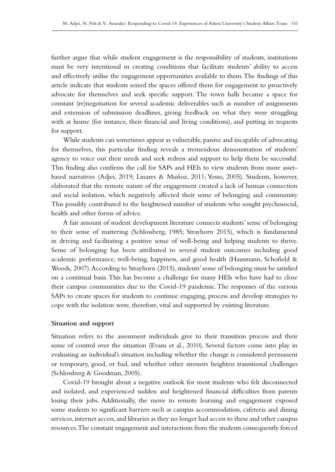further argue that while student engagement is the responsibility of students, institutions must be very intentional in creating conditions that facilitate students' ability to access and effectively utilise the engagement opportunities available to them. The findings of this article indicate that students seized the spaces offered them for engagement to proactively advocate for themselves and seek specific support. The town halls became a space for constant (re)negotiation for several academic deliverables such as number of assignments and extension of submission deadlines, giving feedback on what they were struggling with at home (for instance, their financial and living conditions), and putting in requests for support.

While students can sometimes appear as vulnerable, passive and incapable of advocating for themselves, this particular finding reveals a tremendous demonstration of students' agency to voice out their needs and seek redress and support to help them be successful. This finding also confirms the call for SAPs and HEIs to view students from more assetbased narratives (Adjei, 2019; Linares & Muñoz, 2011; Yosso, 2005). Students, however, elaborated that the remote nature of the engagement created a lack of human connection and social isolation, which negatively affected their sense of belonging and community. This possibly contributed to the heightened number of students who sought psychosocial, health and other forms of advice.

A fair amount of student development literature connects students' sense of belonging to their sense of mattering (Schlossberg, 1985; Strayhorn 2015), which is fundamental in driving and facilitating a positive sense of well‑being and helping students to thrive. Sense of belonging has been attributed to several student outcomes including good academic performance, well-being, happiness, and good health (Hausmann, Schofield  $\&$ Woods, 2007). According to Strayhorn (2015), students' sense of belonging must be satisfied on a continual basis. This has become a challenge for many HEIs who have had to close their campus communities due to the Covid‑19 pandemic. The responses of the various SAPs to create spaces for students to continue engaging, process and develop strategies to cope with the isolation were, therefore, vital and supported by existing literature.

#### **Situation and support**

Situation refers to the assessment individuals give to their transition process and their sense of control over the situation (Evans et al., 2010). Several factors come into play in evaluating an individual's situation including whether the change is considered permanent or temporary, good, or bad, and whether other stressors heighten transitional challenges (Schlossberg & Goodman, 2005).

Covid‑19 brought about a negative outlook for most students who felt disconnected and isolated, and experienced sudden and heightened financial difficulties from parents losing their jobs. Additionally, the move to remote learning and engagement exposed some students to significant barriers such as campus accommodation, cafeteria and dining services, internet access, and libraries as they no longer had access to these and other campus resources. The constant engagement and interactions from the students consequently forced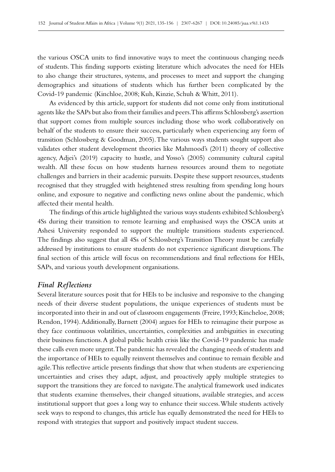the various OSCA units to find innovative ways to meet the continuous changing needs of students. This finding supports existing literature which advocates the need for HEIs to also change their structures, systems, and processes to meet and support the changing demographics and situations of students which has further been complicated by the Covid‑19 pandemic (Kinchloe, 2008; Kuh, Kinzie, Schuh & Whitt, 2011).

As evidenced by this article, support for students did not come only from institutional agents like the SAPs but also from their families and peers. This affirms Schlossberg's assertion that support comes from multiple sources including those who work collaboratively on behalf of the students to ensure their success, particularly when experiencing any form of transition (Schlossberg & Goodman, 2005). The various ways students sought support also validates other student development theories like Mahmood's (2011) theory of collective agency, Adjei's (2019) capacity to hustle, and Yosso's (2005) community cultural capital wealth. All these focus on how students harness resources around them to negotiate challenges and barriers in their academic pursuits. Despite these support resources, students recognised that they struggled with heightened stress resulting from spending long hours online, and exposure to negative and conflicting news online about the pandemic, which affected their mental health.

The findings of this article highlighted the various ways students exhibited Schlossberg's 4Ss during their transition to remote learning and emphasised ways the OSCA units at Ashesi University responded to support the multiple transitions students experienced. The findings also suggest that all 4Ss of Schlossberg's Transition Theory must be carefully addressed by institutions to ensure students do not experience significant disruptions. The final section of this article will focus on recommendations and final reflections for HEIs, SAPs, and various youth development organisations.

## *Final Reflections*

Several literature sources posit that for HEIs to be inclusive and responsive to the changing needs of their diverse student populations, the unique experiences of students must be incorporated into their in and out of classroom engagements (Freire, 1993; Kincheloe, 2008; Rendon, 1994). Additionally, Barnett (2004) argues for HEIs to reimagine their purpose as they face continuous volatilities, uncertainties, complexities and ambiguities in executing their business functions. A global public health crisis like the Covid–19 pandemic has made these calls even more urgent. The pandemic has revealed the changing needs of students and the importance of HEIs to equally reinvent themselves and continue to remain flexible and agile. This reflective article presents findings that show that when students are experiencing uncertainties and crises they adapt, adjust, and proactively apply multiple strategies to support the transitions they are forced to navigate. The analytical framework used indicates that students examine themselves, their changed situations, available strategies, and access institutional support that goes a long way to enhance their success. While students actively seek ways to respond to changes, this article has equally demonstrated the need for HEIs to respond with strategies that support and positively impact student success.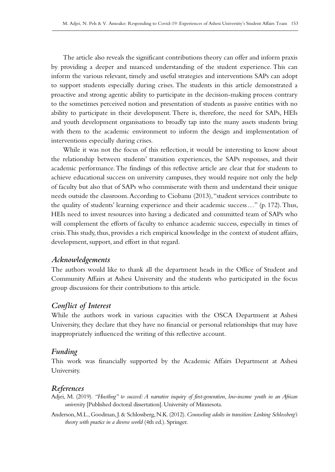The article also reveals the significant contributions theory can offer and inform praxis by providing a deeper and nuanced understanding of the student experience. This can inform the various relevant, timely and useful strategies and interventions SAPs can adopt to support students especially during crises. The students in this article demonstrated a proactive and strong agentic ability to participate in the decision-making process contrary to the sometimes perceived notion and presentation of students as passive entities with no ability to participate in their development. There is, therefore, the need for SAPs, HEIs and youth development organisations to broadly tap into the many assets students bring with them to the academic environment to inform the design and implementation of interventions especially during crises.

While it was not the focus of this reflection, it would be interesting to know about the relationship between students' transition experiences, the SAPs responses, and their academic performance. The findings of this reflective article are clear that for students to achieve educational success on university campuses, they would require not only the help of faculty but also that of SAPs who commiserate with them and understand their unique needs outside the classroom. According to Ciobanu (2013), "student services contribute to the quality of students' learning experience and their academic success…" (p. 172). Thus, HEIs need to invest resources into having a dedicated and committed team of SAPs who will complement the efforts of faculty to enhance academic success, especially in times of crisis. This study, thus, provides a rich empirical knowledge in the context of student affairs, development, support, and effort in that regard.

## *Acknowledgements*

The authors would like to thank all the department heads in the Office of Student and Community Affairs at Ashesi University and the students who participated in the focus group discussions for their contributions to this article.

### *Conflict of Interest*

While the authors work in various capacities with the OSCA Department at Ashesi University, they declare that they have no financial or personal relationships that may have inappropriately influenced the writing of this reflective account.

#### *Funding*

This work was financially supported by the Academic Affairs Department at Ashesi University.

#### *References*

- Adjei, M. (2019). *"Hustling" to succeed: A narrative inquiry of first-generation, low-income youth in an African university* [Published doctoral dissertation]. University of Minnesota.
- Anderson, M.L., Goodman, J. & Schlossberg, N.K. (2012). *Counseling adults in transition: Linking Schlossberg's theory with practice in a diverse world* (4th ed.). Springer.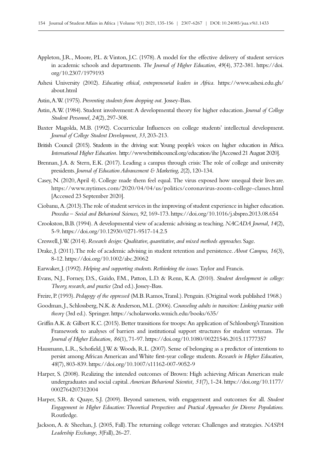- Appleton, J.R., Moore, P.L. & Vinton, J.C. (1978). A model for the effective delivery of student services in academic schools and departments. *The Journal of Higher Education, 49*(4), 372‑381. [https://doi.](https://doi.org/10.2307/1979193) [org/10.2307/1979193](https://doi.org/10.2307/1979193)
- Ashesi University (2002). *Educating ethical, entrepreneurial leaders in Africa.* [https://www.ashesi.edu.gh/](https://www.ashesi.edu.gh/about.html) [about.html](https://www.ashesi.edu.gh/about.html)
- Astin, A.W. (1975). *Preventing students from dropping out.* Jossey-Bass.
- Astin, A.W. (1984). Student involvement: A developmental theory for higher education. *Journal of College Student Personnel, 24*(2), 297‑308.
- Baxter Magolda, M.B. (1992). Cocurricular Influences on college students' intellectual development. *Journal of College Student Development, 33*, 203‑213*.*
- British Council (2015). Students in the driving seat: Young people's voices on higher education in Africa. *International Higher Education.*<http://www.britishcouncil.org/education/ihe>[Accessed 21 August 2020].
- Brennan, J.A. & Stern, E.K. (2017). Leading a campus through crisis: The role of college and university presidents. *Journal of Education Advancement & Marketing*, 2(2), 120-134.
- Casey, N. (2020, April 4). College made them feel equal. The virus exposed how unequal their lives are. <https://www.nytimes.com/2020/04/04/us/politics/coronavirus-zoom-college-classes.html> [Accessed 23 September 2020].
- Ciobanu, A. (2013). The role of student services in the improving of student experience in higher education. *Procedia – Social and Behavioral Sciences, 92*, 169‑173. <https://doi.org/10.1016/j.sbspro.2013.08.654>
- Crookston, B.B. (1994). A developmental view of academic advising as teaching. *NACADA Journal, 14*(2), 5‑9.<https://doi.org/10.12930/0271-9517-14.2.5>
- Creswell, J.W. (2014). *Research design: Qualitative, quantitative, and mixed methods approaches.* Sage.
- Drake, J. (2011). The role of academic advising in student retention and persistence. *About Campus, 16*(3), 8‑12.<https://doi.org/10.1002/abc.20062>
- Earwaker, J. (1992). *Helping and supporting students. Rethinking the issues.* Taylor and Francis.
- Evans, N.J., Forney, D.S., Guido, F.M., Patton, L.D. & Renn, K.A. (2010). *Student development in college: Theory, research, and practice* (2nd ed.). Jossey-Bass.
- Freire, P. (1993). *Pedagogy of the oppressed* (M.B. Ramos, Transl.). Penguin. (Original work published 1968.)
- Goodman, J., Schlossberg, N.K. & Anderson, M.L. (2006). *Counseling adults in transition: Linking practice with theory* (3rd ed.)*.* Springer.<https://scholarworks.wmich.edu/books/635/>
- Griffin A.K. & Gilbert K.C. (2015). Better transitions for troops: An application of Schlossberg's Transition Framework to analyses of barriers and institutional support structures for student veterans. *The Journal of Higher Education, 86*(1), 71-97. <https://doi.org/10.1080/00221546.2015.11777357>
- Hausmann, L.R., Schofield, J.W. & Woods, R.L. (2007). Sense of belonging as a predictor of intentions to persist among African American and White first-year college students. *Research in Higher Education, 48*(7), 803‑839.<https://doi.org/10.1007/s11162-007-9052-9>
- Harper, S. (2008). Realizing the intended outcomes of Brown: High achieving African American male undergraduates and social capital. *American Behavioral Scientist, 51*(7), 1‑24. [https://doi.org/10.1177/](https://doi.org/10.1177/0002764207312004) [0002764207312004](https://doi.org/10.1177/0002764207312004)
- Harper, S.R. & Quaye, S.J. (2009). Beyond sameness, with engagement and outcomes for all. *Student Engagement in Higher Education: Theoretical Perspectives and Practical Approaches for Diverse Populations.* Routledge.
- Jackson, A. & Sheehan, J. (2005, Fall). The returning college veteran: Challenges and strategies. *NASPA Leadership Exchange, 3*(Fall), 26‑27.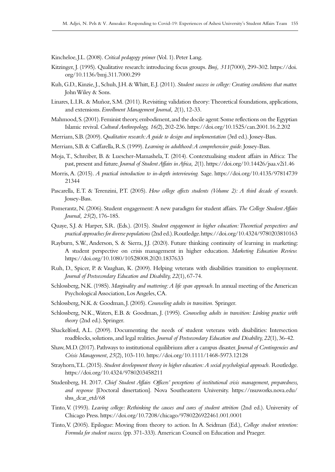Kincheloe, J.L. (2008). *Critical pedagogy primer* (Vol. 1). Peter Lang.

- Kitzinger, J. (1995). Qualitative research: introducing focus groups. *Bmj, 311*(7000), 299‑302. [https://doi.](https://doi.org/10.1136/bmj.311.7000.299) [org/10.1136/bmj.311.7000.299](https://doi.org/10.1136/bmj.311.7000.299)
- Kuh, G.D., Kinzie, J., Schuh, J.H. & Whitt, E.J. (2011). *Student success in college: Creating conditions that matter.* John Wiley & Sons.
- Linares, L.I.R. & Muñoz, S.M. (2011). Revisiting validation theory: Theoretical foundations, applications, and extensions. *Enrollment Management Journal, 2*(1), 12‑33.
- Mahmood, S. (2001). Feminist theory, embodiment, and the docile agent: Some reflections on the Egyptian Islamic revival. *Cultural Anthropology, 16(*2), 202‑236.<https://doi.org/10.1525/can.2001.16.2.202>
- Merriam, S.B. (2009). *Qualitative research: A guide to design and implementation* (3rd ed.). Jossey-Bass.
- Merriam, S.B. & Caffarella, R.S. (1999). *Learning in adulthood: A comprehensive guide.* Jossey-Bass.
- Moja, T., Schreiber, B. & Luescher-Mamashela, T. (2014). Contextualising student affairs in Africa: The past, present and future. *Journal of Student Affairs in Africa, 2*(1). <https://doi.org/10.14426/jsaa.v2i1.46>
- Morris, A. (2015). *A practical introduction to in‑depth interviewing.* Sage. [https://doi.org/10.4135/97814739](https://doi.org/10.4135/9781473921344) [21344](https://doi.org/10.4135/9781473921344)
- Pascarella, E.T. & Terenzini, P.T. (2005). *How college affects students (Volume 2): A third decade of research.*  Jossey-Bass.
- Pomerantz, N. (2006). Student engagement: A new paradigm for student affairs. *The College Student Affairs Journal, 25*(2), 176‑185.
- Quaye, S.J. & Harper, S.R. (Eds.). (2015). *Student engagement in higher education: Theoretical perspectives and practical approaches for diverse populations* (2nd ed.). Routledge.<https://doi.org/10.4324/9780203810163>
- Rayburn, S.W., Anderson, S. & Sierra, J.J. (2020). Future thinking continuity of learning in marketing: A student perspective on crisis management in higher education. *Marketing Education Review.* <https://doi.org/10.1080/10528008.2020.1837633>
- Ruh, D., Spicer, P. & Vaughan, K. (2009). Helping veterans with disabilities transition to employment. *Journal of Postsecondary Education and Disability, 22*(1), 67‑74.
- Schlossberg, N.K. (1985). *Marginality and mattering: A life span approach*. In annual meeting of the American Psychological Association, Los Angeles, CA.
- Schlossberg, N.K. & Goodman, J. (2005). *Counseling adults in transition.* Springer.
- Schlossberg, N.K., Waters, E.B. & Goodman, J. (1995). *Counseling adults in transition: Linking practice with theory* (2nd ed.). Springer.
- Shackelford, A.L. (2009). Documenting the needs of student veterans with disabilities: Intersection roadblocks, solutions, and legal realities. *Journal of Postsecondary Education and Disability, 22*(1), 36‑42.
- Shaw, M.D. (2017). Pathways to institutional equilibrium after a campus disaster. *Journal of Contingencies and Crisis Management, 25*(2), 103‑110. <https://doi.org/10.1111/1468-5973.12128>
- Strayhorn, T.L. (2015). *Student development theory in higher education: A social psychological approach.* Routledge. <https://doi.org/10.4324/9780203458211>
- Studenberg, H. 2017. *Chief Student Affairs Officers' perceptions of institutional crisis management, preparedness, and response* [Doctoral dissertation]. Nova Southeastern University. [https://nsuworks.nova.edu/](https://nsuworks.nova.edu/shss_dcar_etd/68) [shss\\_dcar\\_etd/68](https://nsuworks.nova.edu/shss_dcar_etd/68)
- Tinto, V. (1993). *Leaving college: Rethinking the causes and cures of student attrition* (2nd ed.). University of Chicago Press.<https://doi.org/10.7208/chicago/9780226922461.001.0001>
- Tinto, V. (2005). Epilogue: Moving from theory to action. In A. Seidman (Ed.), *College student retention: Formula for student success.* (pp. 371‑333). American Council on Education and Praeger.